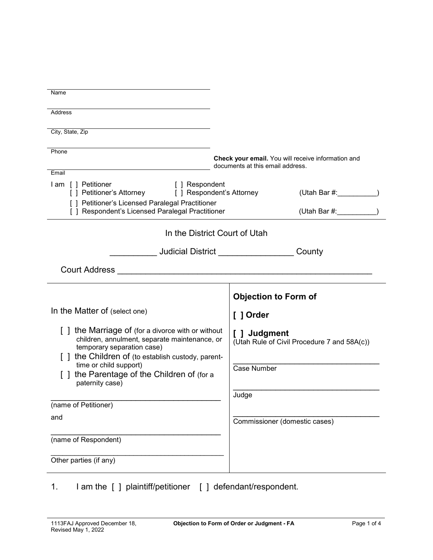| Name                                                                                                                                                                                                   |                                                                                        |
|--------------------------------------------------------------------------------------------------------------------------------------------------------------------------------------------------------|----------------------------------------------------------------------------------------|
| <b>Address</b>                                                                                                                                                                                         |                                                                                        |
| City, State, Zip                                                                                                                                                                                       |                                                                                        |
| Phone<br>Email                                                                                                                                                                                         | Check your email. You will receive information and<br>documents at this email address. |
| I am [] Petitioner<br>[ ] Respondent<br>[ ] Petitioner's Attorney<br>[ ] Respondent's Attorney<br>[ ] Petitioner's Licensed Paralegal Practitioner<br>[ ] Respondent's Licensed Paralegal Practitioner | (Utah Bar $\#$ :<br>(Utah Bar #:                                                       |
| In the District Court of Utah                                                                                                                                                                          |                                                                                        |
|                                                                                                                                                                                                        | County                                                                                 |
|                                                                                                                                                                                                        |                                                                                        |
|                                                                                                                                                                                                        | <b>Objection to Form of</b>                                                            |
| In the Matter of (select one)                                                                                                                                                                          | [ ] Order                                                                              |
| [] the Marriage of (for a divorce with or without<br>children, annulment, separate maintenance, or<br>temporary separation case)<br>[ ] the Children of (to establish custody, parent-                 | [ ] Judgment<br>(Utah Rule of Civil Procedure 7 and 58A(c))                            |
| time or child support)<br>[] the Parentage of the Children of (for a<br>paternity case)                                                                                                                | Case Number                                                                            |
| (name of Petitioner)                                                                                                                                                                                   | Judge                                                                                  |
| and                                                                                                                                                                                                    | Commissioner (domestic cases)                                                          |
| (name of Respondent)                                                                                                                                                                                   |                                                                                        |
| Other parties (if any)                                                                                                                                                                                 |                                                                                        |

1. I am the [ ] plaintiff/petitioner [ ] defendant/respondent.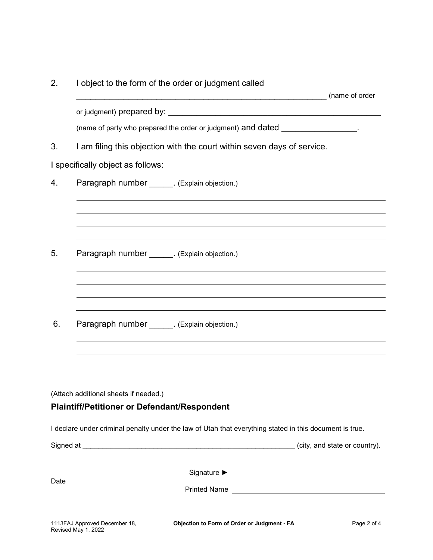| (name of party who prepared the order or judgment) and dated<br>I am filing this objection with the court within seven days of service.<br>3.<br>I specifically object as follows:<br>4.<br>Paragraph number _______. (Explain objection.)<br>,我们也不会有什么。""我们的人,我们也不会有什么?""我们的人,我们也不会有什么?""我们的人,我们也不会有什么?""我们的人,我们也不会有什么?""我们的人<br>5.<br>Paragraph number _______. (Explain objection.)<br>6.<br>Paragraph number _______. (Explain objection.)<br>(Attach additional sheets if needed.)<br><b>Plaintiff/Petitioner or Defendant/Respondent</b><br>I declare under criminal penalty under the law of Utah that everything stated in this document is true.<br>Date | 2. | I object to the form of the order or judgment called |  |
|-------------------------------------------------------------------------------------------------------------------------------------------------------------------------------------------------------------------------------------------------------------------------------------------------------------------------------------------------------------------------------------------------------------------------------------------------------------------------------------------------------------------------------------------------------------------------------------------------------------------------------------------------------------------|----|------------------------------------------------------|--|
|                                                                                                                                                                                                                                                                                                                                                                                                                                                                                                                                                                                                                                                                   |    |                                                      |  |
|                                                                                                                                                                                                                                                                                                                                                                                                                                                                                                                                                                                                                                                                   |    |                                                      |  |
|                                                                                                                                                                                                                                                                                                                                                                                                                                                                                                                                                                                                                                                                   |    |                                                      |  |
|                                                                                                                                                                                                                                                                                                                                                                                                                                                                                                                                                                                                                                                                   |    |                                                      |  |
|                                                                                                                                                                                                                                                                                                                                                                                                                                                                                                                                                                                                                                                                   |    |                                                      |  |
|                                                                                                                                                                                                                                                                                                                                                                                                                                                                                                                                                                                                                                                                   |    |                                                      |  |
|                                                                                                                                                                                                                                                                                                                                                                                                                                                                                                                                                                                                                                                                   |    |                                                      |  |
|                                                                                                                                                                                                                                                                                                                                                                                                                                                                                                                                                                                                                                                                   |    |                                                      |  |
|                                                                                                                                                                                                                                                                                                                                                                                                                                                                                                                                                                                                                                                                   |    |                                                      |  |
|                                                                                                                                                                                                                                                                                                                                                                                                                                                                                                                                                                                                                                                                   |    |                                                      |  |
|                                                                                                                                                                                                                                                                                                                                                                                                                                                                                                                                                                                                                                                                   |    |                                                      |  |
|                                                                                                                                                                                                                                                                                                                                                                                                                                                                                                                                                                                                                                                                   |    |                                                      |  |
|                                                                                                                                                                                                                                                                                                                                                                                                                                                                                                                                                                                                                                                                   |    |                                                      |  |
|                                                                                                                                                                                                                                                                                                                                                                                                                                                                                                                                                                                                                                                                   |    |                                                      |  |
|                                                                                                                                                                                                                                                                                                                                                                                                                                                                                                                                                                                                                                                                   |    |                                                      |  |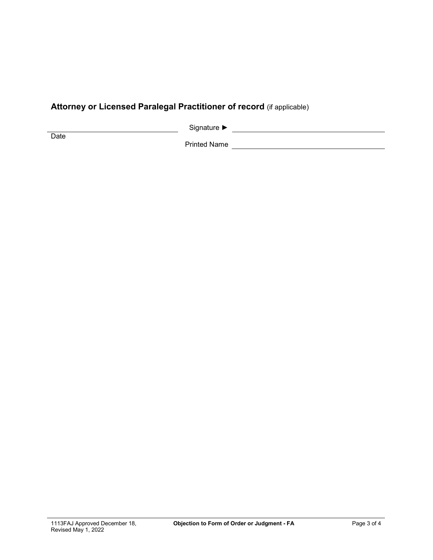## **Attorney or Licensed Paralegal Practitioner of record** (if applicable)

Signature ► Signature ► Signature → Signature → Signature → Signature → Signature → Signature → Signature → Signature → Signature → Signature → Signature → Signature → Signature → Signature → Signature → Signature → Signa

**Date** 

Printed Name